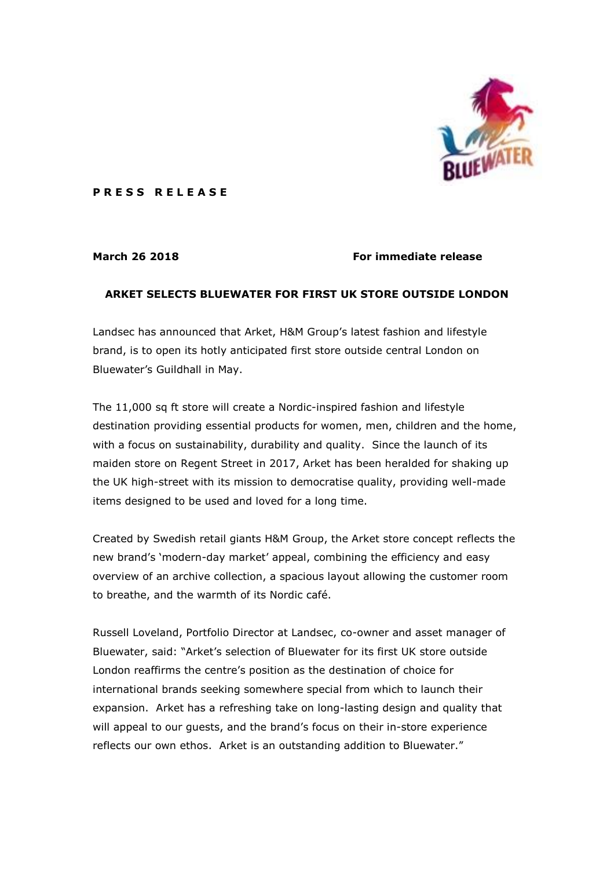

**P R E S S R E L E A S E** 

## **March 26 2018 For immediate release**

## **ARKET SELECTS BLUEWATER FOR FIRST UK STORE OUTSIDE LONDON**

Landsec has announced that Arket, H&M Group's latest fashion and lifestyle brand, is to open its hotly anticipated first store outside central London on Bluewater's Guildhall in May.

The 11,000 sq ft store will create a Nordic-inspired fashion and lifestyle destination providing essential products for women, men, children and the home, with a focus on sustainability, durability and quality. Since the launch of its maiden store on Regent Street in 2017, Arket has been heralded for shaking up the UK high-street with its mission to democratise quality, providing well-made items designed to be used and loved for a long time.

Created by Swedish retail giants H&M Group, the Arket store concept reflects the new brand's 'modern-day market' appeal, combining the efficiency and easy overview of an archive collection, a spacious layout allowing the customer room to breathe, and the warmth of its Nordic café.

Russell Loveland, Portfolio Director at Landsec, co-owner and asset manager of Bluewater, said: "Arket's selection of Bluewater for its first UK store outside London reaffirms the centre's position as the destination of choice for international brands seeking somewhere special from which to launch their expansion. Arket has a refreshing take on long-lasting design and quality that will appeal to our guests, and the brand's focus on their in-store experience reflects our own ethos. Arket is an outstanding addition to Bluewater."